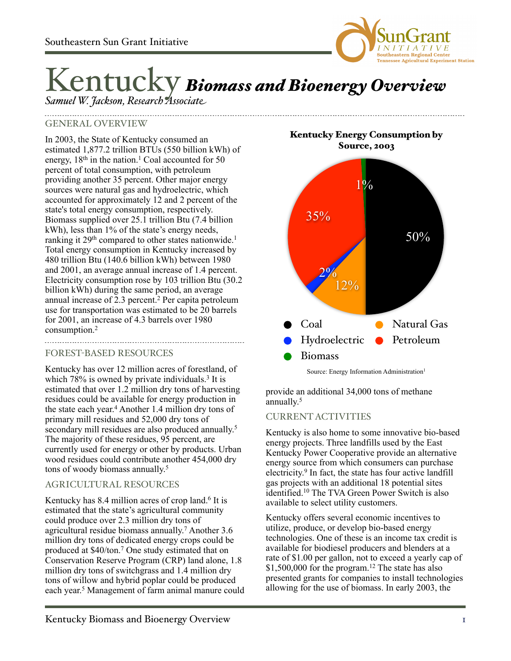

# Kentucky *Biomass and Bioenergy Overview*

*Samuel W. Jackson, Research Associate*

## GENERAL OVERVIEW

In 2003, the State of Kentucky consumed an estimated 1,877.2 trillion BTUs (550 billion kWh) of energy,  $18<sup>th</sup>$  in the nation.<sup>1</sup> Coal accounted for 50 percent of total consumption, with petroleum providing another 35 percent. Other major energy sources were natural gas and hydroelectric, which accounted for approximately 12 and 2 percent of the state's total energy consumption, respectively. Biomass supplied over 25.1 trillion Btu (7.4 billion kWh), less than 1% of the state's energy needs, ranking it 29<sup>th</sup> compared to other states nationwide.<sup>1</sup> Total energy consumption in Kentucky increased by 480 trillion Btu (140.6 billion kWh) between 1980 and 2001, an average annual increase of 1.4 percent. Electricity consumption rose by 103 trillion Btu (30.2 billion kWh) during the same period, an average annual increase of  $2.3$  percent.<sup>2</sup> Per capita petroleum use for transportation was estimated to be 20 barrels for 2001, an increase of 4.3 barrels over 1980 consumption.2

#### FOREST-BASED RESOURCES

Kentucky has over 12 million acres of forestland, of which 78% is owned by private individuals.<sup>3</sup> It is estimated that over 1.2 million dry tons of harvesting residues could be available for energy production in the state each year. <sup>4</sup> Another 1.4 million dry tons of primary mill residues and 52,000 dry tons of secondary mill residues are also produced annually.<sup>5</sup> The majority of these residues, 95 percent, are currently used for energy or other by products. Urban wood residues could contribute another 454,000 dry tons of woody biomass annually. 5

## AGRICULTURAL RESOURCES

Kentucky has 8.4 million acres of crop land.<sup>6</sup> It is estimated that the state's agricultural community could produce over 2.3 million dry tons of agricultural residue biomass annually. <sup>7</sup> Another 3.6 million dry tons of dedicated energy crops could be produced at \$40/ton.7 One study estimated that on Conservation Reserve Program (CRP) land alone, 1.8 million dry tons of switchgrass and 1.4 million dry tons of willow and hybrid poplar could be produced each year. 5 Management of farm animal manure could

Kentucky Energy Consumption by Source, 2003



Source: Energy Information Administration<sup>1</sup>

provide an additional 34,000 tons of methane annually. 5

## CURRENT ACTIVITIES

Kentucky is also home to some innovative bio-based energy projects. Three landfills used by the East Kentucky Power Cooperative provide an alternative energy source from which consumers can purchase electricity. 9 In fact, the state has four active landfill gas projects with an additional 18 potential sites identified.10 The TVA Green Power Switch is also available to select utility customers.

Kentucky offers several economic incentives to utilize, produce, or develop bio-based energy technologies. One of these is an income tax credit is available for biodiesel producers and blenders at a rate of \$1.00 per gallon, not to exceed a yearly cap of  $$1,500,000$  for the program.<sup>12</sup> The state has also presented grants for companies to install technologies allowing for the use of biomass. In early 2003, the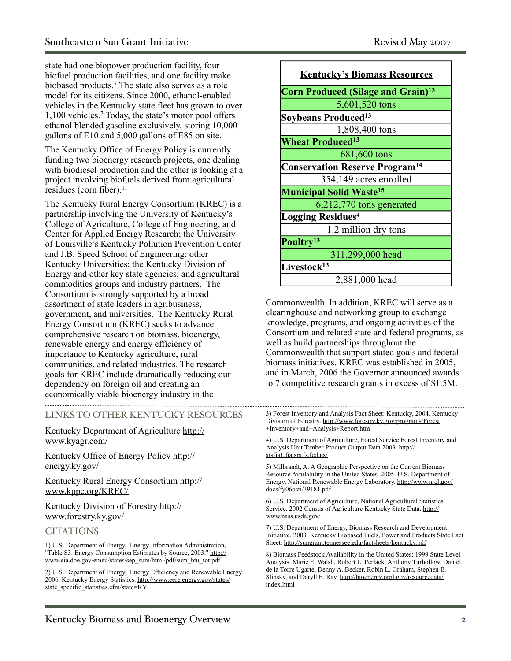state had one biopower production facility, four biofuel production facilities, and one facility make biobased products.7 The state also serves as a role model for its citizens. Since 2000, ethanol-enabled vehicles in the Kentucky state fleet has grown to over 1,100 vehicles.7 Today, the state's motor pool offers ethanol blended gasoline exclusively, storing 10,000 gallons of E10 and 5,000 gallons of E85 on site.

The Kentucky Office of Energy Policy is currently funding two bioenergy research projects, one dealing with biodiesel production and the other is looking at a project involving biofuels derived from agricultural residues (corn fiber). $^{11}$ 

The Kentucky Rural Energy Consortium (KREC) is a partnership involving the University of Kentucky's College of Agriculture, College of Engineering, and Center for Applied Energy Research; the University of Louisville's Kentucky Pollution Prevention Center and J.B. Speed School of Engineering; other Kentucky Universities; the Kentucky Division of Energy and other key state agencies; and agricultural commodities groups and industry partners. The Consortium is strongly supported by a broad assortment of state leaders in agribusiness, government, and universities. The Kentucky Rural Energy Consortium (KREC) seeks to advance comprehensive research on biomass, bioenergy, renewable energy and energy efficiency of importance to Kentucky agriculture, rural communities, and related industries. The research goals for KREC include dramatically reducing our dependency on foreign oil and creating an economically viable bioenergy industry in the 

## LINKS TO OTHER KENTUCKY RESOURCES

Kentucky Department of Agriculture [http://](http://www.kyagr.com/) [www.kyagr.com/](http://www.kyagr.com/)

Kentucky Office of Energy Policy [http://](http://energy.ky.gov/) [energy.ky.gov/](http://energy.ky.gov/)

Kentucky Rural Energy Consortium [http://](http://www.kppc.org/KREC/) [www.kppc.org/KREC/](http://www.kppc.org/KREC/)

Kentucky Division of Forestry [http://](http://www.forestry.ky.gov/) [www.forestry.ky.gov/](http://www.forestry.ky.gov/)

#### **CITATIONS**

1) U.S. Department of Energy, Energy Information Administration, "Table S3. Energy Consumption Estimates by Source, 2003." [http://](http://www.eia.doe.gov/emeu/states/sep_sum/html/pdf/sum_btu_tot.pdf) [www.eia.doe.gov/emeu/states/sep\\_sum/html/pdf/sum\\_btu\\_tot.pdf](http://www.eia.doe.gov/emeu/states/sep_sum/html/pdf/sum_btu_tot.pdf)

2) U.S. Department of Energy, Energy Efficiency and Renewable Energy. 2006. Kentucky Energy Statistics. [http://www.eere.energy.gov/states/](http://www.eere.energy.gov/states/state_specific_statistics.cfm/state=KY) [state\\_specific\\_statistics.cfm/state=KY](http://www.eere.energy.gov/states/state_specific_statistics.cfm/state=KY)

| <b>Kentucky's Biomass Resources</b>                   |
|-------------------------------------------------------|
| <b>Corn Produced (Silage and Grain)</b> <sup>13</sup> |
| 5,601,520 tons                                        |
| Soybeans Produced <sup>13</sup>                       |
| 1,808,400 tons                                        |
| <b>Wheat Produced</b> <sup>13</sup>                   |
| 681,600 tons                                          |
| <b>Conservation Reserve Program<sup>14</sup></b>      |
| 354,149 acres enrolled                                |
| <b>Municipal Solid Waste<sup>15</sup></b>             |
| 6,212,770 tons generated                              |
| <b>Logging Residues<sup>4</sup></b>                   |
| 1.2 million dry tons                                  |
| Poultry <sup>13</sup>                                 |
| 311,299,000 head                                      |
| Livestock <sup>13</sup>                               |
| 2,881,000 head                                        |

Commonwealth. In addition, KREC will serve as a clearinghouse and networking group to exchange knowledge, programs, and ongoing activities of the Consortium and related state and federal programs, as well as build partnerships throughout the Commonwealth that support stated goals and federal biomass initiatives. KREC was established in 2005, and in March, 2006 the Governor announced awards to 7 competitive research grants in excess of \$1.5M.

3) Forest Inventory and Analysis Fact Sheet: Kentucky, 2004. Kentucky Division of Forestry. [http://www.forestry.ky.gov/programs/Forest](http://www.forestry.ky.gov/programs/Forest+Inventory+and+Analysis+Report.htm) [+Inventory+and+Analysis+Report.htm](http://www.forestry.ky.gov/programs/Forest+Inventory+and+Analysis+Report.htm)

4) U.S. Department of Agriculture, Forest Service Forest Inventory and Analysis Unit Timber Product Output Data 2003. [http://](http://srsfia1.fia.srs.fs.fed.us/) [srsfia1.fia.srs.fs.fed.us/](http://srsfia1.fia.srs.fs.fed.us/)

5) Milbrandt, A. A Geographic Perspective on the Current Biomass Resource Availability in the United States. 2005. U.S. Department of Energy, National Renewable Energy Laboratory. [http://www.nrel.gov/](http://www.nrel.gov/docs/fy06osti/39181.pdf) [docs/fy06osti/39181.pdf](http://www.nrel.gov/docs/fy06osti/39181.pdf)

6) U.S. Department of Agriculture, National Agricultural Statistics Service. 2002 Census of Agriculture Kentucky State Data. [http://](http://www.nass.usda.gov/) [www.nass.usda.gov/](http://www.nass.usda.gov/)

7) U.S. Department of Energy, Biomass Research and Development Initiative. 2003. Kentucky Biobased Fuels, Power and Products State Fact Sheet.<http://sungrant.tennessee.edu/factsheets/kentucky.pdf>

8) Biomass Feedstock Availability in the United States: 1999 State Level Analysis. Marie E. Walsh, Robert L. Perlack, Anthony Turhollow, Daniel de la Torre Ugarte, Denny A. Becker, Robin L. Graham, Stephen E. Slinsky, and Daryll E. Ray. [http://bioenergy.ornl.gov/resourcedata/](http://bioenergy.ornl.gov/resourcedata/index.html) [index.html](http://bioenergy.ornl.gov/resourcedata/index.html)